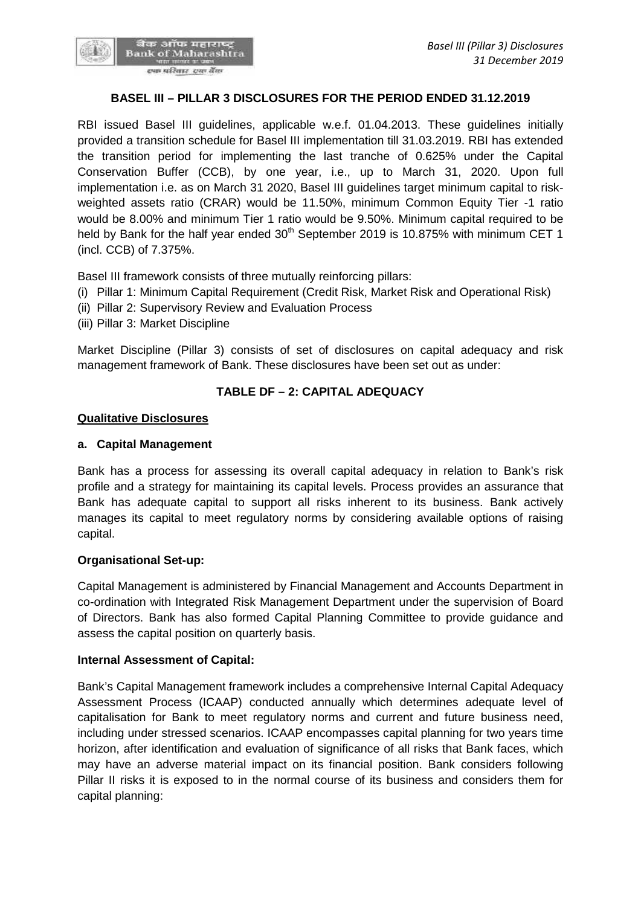## **BASEL III – PILLAR 3 DISCLOSURES FOR THE PERIOD ENDED 31.12.2019**

RBI issued Basel III guidelines, applicable w.e.f. 01.04.2013. These guidelines initially provided a transition schedule for Basel III implementation till 31.03.2019. RBI has extended the transition period for implementing the last tranche of 0.625% under the Capital Conservation Buffer (CCB), by one year, i.e., up to March 31, 2020. Upon full implementation i.e. as on March 31 2020, Basel III guidelines target minimum capital to risk weighted assets ratio (CRAR) would be 11.50%, minimum Common Equity Tier -1 ratio would be 8.00% and minimum Tier 1 ratio would be 9.50%. Minimum capital required to be held by Bank for the half year ended 30<sup>th</sup> September 2019 is 10.875% with minimum CET 1 (incl. CCB) of 7.375%.

Basel III framework consists of three mutually reinforcing pillars:

- (i) Pillar 1: Minimum Capital Requirement (Credit Risk, Market Risk and Operational Risk)
- (ii) Pillar 2: Supervisory Review and Evaluation Process
- (iii) Pillar 3: Market Discipline

Market Discipline (Pillar 3) consists of set of disclosures on capital adequacy and risk management framework of Bank. These disclosures have been set out as under:

## **TABLE DF – 2:CAPITAL ADEQUACY**

#### **Qualitative Disclosures**

### **a. Capital Management**

Bank has a process for assessing its overall capital adequacy in relation to Bank's risk profile and a strategy for maintaining its capital levels. Process provides an assurance that Bank has adequate capital to support all risks inherent to its business. Bank actively manages its capital to meet regulatory norms by considering available options of raising capital.

## **Organisational Set-up:**

Capital Management is administered by Financial Management and Accounts Department in co-ordination with Integrated Risk Management Department under the supervision of Board of Directors. Bank has also formed Capital Planning Committee to provide guidance and assess the capital position on quarterly basis.

## **Internal Assessment of Capital:**

Bank's Capital Management framework includes a comprehensive Internal Capital Adequacy Assessment Process (ICAAP) conducted annually which determines adequate level of capitalisation for Bank to meet regulatory norms and current and future business need, including under stressed scenarios. ICAAP encompasses capital planning for two years time horizon, after identification and evaluation of significance of all risks that Bank faces, which may have an adverse material impact on its financial position. Bank considers following Pillar II risks it is exposed to in the normal course of its business and considers them for capital planning: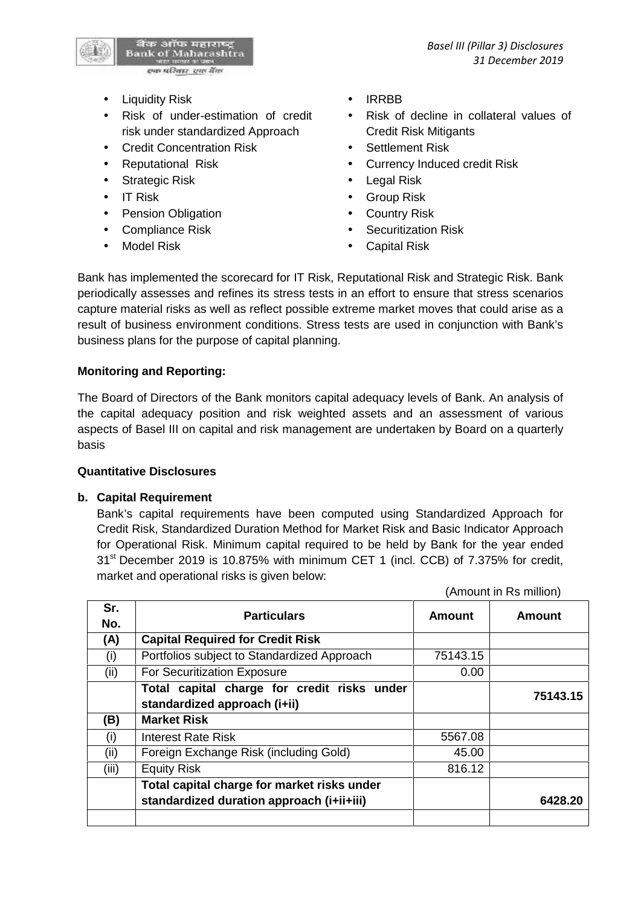(Amount in Rs million)



- Liquidity Risk **IRRBB**
- Risk of under-estimation of credit risk under standardized Approach
- Credit Concentration Risk Settlement Risk
- 
- Strategic Risk **Contract Contract Contract Contract Contract Contract Contract Contract Contract Contract Contract Contract Contract Contract Contract Contract Contract Contract Contract Contract Contract Contract Contract**
- 
- Pension Obligation **Country Risk**
- 
- 
- 
- Risk of decline in collateral values of Credit Risk Mitigants
- 
- Reputational Risk **Currency Induced credit Risk** 
	-
- IT Risk Group Risk
	-
- Compliance Risk **COMPLIANCE RISK Securitization Risk**
- Model Risk **Capital Risk Capital Risk**

Bank has implemented the scorecard for IT Risk, Reputational Risk and Strategic Risk. Bank periodically assesses and refines its stress tests in an effort to ensure that stress scenarios capture material risks as well as reflect possible extreme market moves that could arise as a result of business environment conditions. Stress tests are used in conjunction with Bank's business plans for the purpose of capital planning.

# **Monitoring and Reporting:**

The Board of Directors of the Bank monitors capital adequacy levels of Bank. An analysis of the capital adequacy position and risk weighted assets and an assessment of various aspects of Basel III on capital and risk management are undertaken by Board on a quarterly basis

# **Quantitative Disclosures**

# **b. Capital Requirement**

Bank's capital requirements have been computed using Standardized Approach for Credit Risk, Standardized Duration Method for Market Risk and Basic Indicator Approach for Operational Risk. Minimum capital required to be held by Bank for the year ended 31<sup>st</sup> December 2019 is 10.875% with minimum CET 1 (incl. CCB) of 7.375% for credit, market and operational risks is given below:

|       | $\frac{1}{2}$                               |               |               |  |  |
|-------|---------------------------------------------|---------------|---------------|--|--|
| Sr.   | <b>Particulars</b>                          | <b>Amount</b> | <b>Amount</b> |  |  |
| No.   |                                             |               |               |  |  |
| (A)   | <b>Capital Required for Credit Risk</b>     |               |               |  |  |
| (i)   | Portfolios subject to Standardized Approach | 75143.15      |               |  |  |
| (ii)  | For Securitization Exposure                 | 0.00          |               |  |  |
|       | Total capital charge for credit risks under |               | 75143.15      |  |  |
|       | standardized approach (i+ii)                |               |               |  |  |
| (B)   | <b>Market Risk</b>                          |               |               |  |  |
| (i)   | <b>Interest Rate Risk</b>                   | 5567.08       |               |  |  |
| (ii)  | Foreign Exchange Risk (including Gold)      | 45.00         |               |  |  |
| (iii) | <b>Equity Risk</b>                          | 816.12        |               |  |  |
|       | Total capital charge for market risks under |               |               |  |  |
|       | standardized duration approach (i+ii+iii)   |               | 6428.20       |  |  |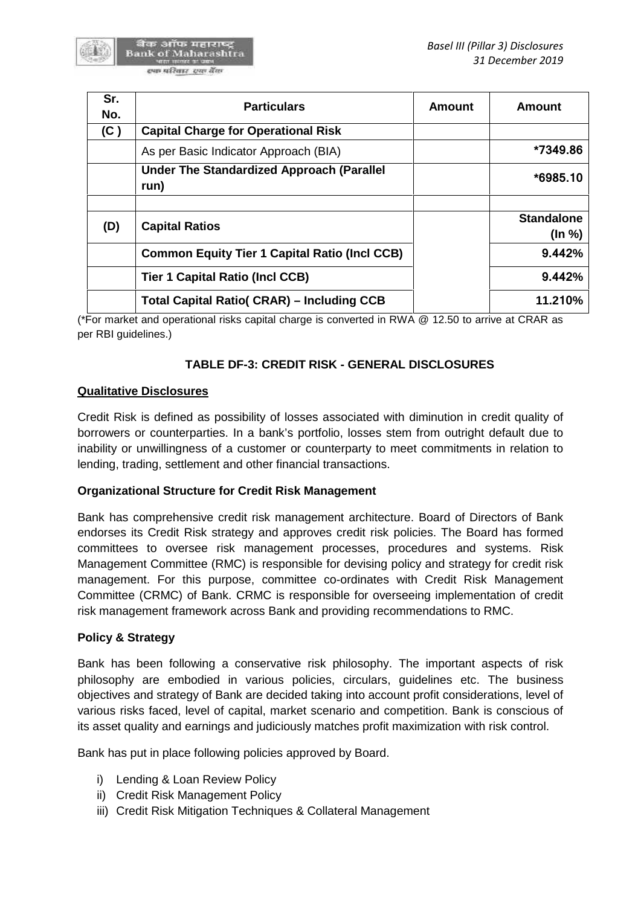

| Sr.<br>No. | <b>Particulars</b>                                       | <b>Amount</b> | <b>Amount</b>               |
|------------|----------------------------------------------------------|---------------|-----------------------------|
| (C)        | <b>Capital Charge for Operational Risk</b>               |               |                             |
|            | As per Basic Indicator Approach (BIA)                    |               | *7349.86                    |
|            | <b>Under The Standardized Approach (Parallel</b><br>run) |               | $*6985.10$                  |
| (D)        | <b>Capital Ratios</b>                                    |               | <b>Standalone</b><br>(ln %) |
|            | <b>Common Equity Tier 1 Capital Ratio (Incl CCB)</b>     |               | 9.442%                      |
|            | <b>Tier 1 Capital Ratio (Incl CCB)</b>                   |               | 9.442%                      |
|            | <b>Total Capital Ratio( CRAR) – Including CCB</b>        |               | 11.210%                     |

(\*For market and operational risks capital charge is converted in RWA @ 12.50 to arrive at CRAR as per RBI guidelines.)

# **TABLE DF-3: CREDIT RISK - GENERAL DISCLOSURES**

## **Qualitative Disclosures**

Credit Risk is defined as possibility of losses associated with diminution in credit quality of borrowers or counterparties. In a bank's portfolio, losses stem from outright default due to inability or unwillingness of a customer or counterparty to meet commitments in relation to lending, trading, settlement and other financial transactions.

## **Organizational Structure for Credit Risk Management**

Bank has comprehensive credit risk management architecture. Board of Directors of Bank endorses its Credit Risk strategy and approves credit risk policies. The Board has formed committees to oversee risk management processes, procedures and systems. Risk Management Committee (RMC) is responsible for devising policy and strategy for credit risk management. For this purpose, committee co-ordinates with Credit Risk Management Committee (CRMC) of Bank. CRMC is responsible for overseeing implementation of credit risk management framework across Bank and providing recommendations to RMC.

## **Policy & Strategy**

Bank has been following a conservative risk philosophy. The important aspects of risk philosophy are embodied in various policies, circulars, guidelines etc. The business objectives and strategy of Bank are decided taking into account profit considerations, level of various risks faced, level of capital, market scenario and competition. Bank is conscious of its asset quality and earnings and judiciously matches profit maximization with risk control.

Bank has put in place following policies approved by Board.

- i) Lending & Loan Review Policy
- ii) Credit Risk Management Policy
- iii) Credit Risk Mitigation Techniques & Collateral Management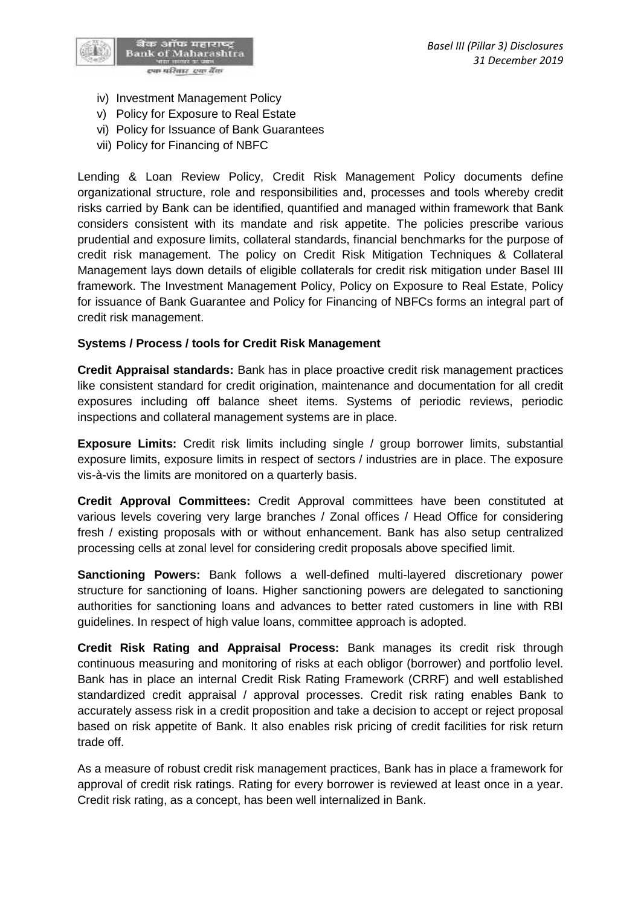

- iv) Investment Management Policy
- v) Policy for Exposure to Real Estate
- vi) Policy for Issuance of Bank Guarantees
- vii) Policy for Financing of NBFC

Lending & Loan Review Policy, Credit Risk Management Policy documents define organizational structure, role and responsibilities and, processes and tools whereby credit risks carried by Bank can be identified, quantified and managed within framework that Bank considers consistent with its mandate and risk appetite. The policies prescribe various prudential and exposure limits, collateral standards, financial benchmarks for the purpose of credit risk management. The policy on Credit Risk Mitigation Techniques & Collateral Management lays down details of eligible collaterals for credit risk mitigation under Basel III framework. The Investment Management Policy, Policy on Exposure to RealEstate, Policy for issuance of Bank Guarantee and Policy for Financing of NBFCs forms an integral part of credit risk management.

## **Systems / Process / tools for Credit Risk Management**

**Credit Appraisal standards:** Bank has in place proactive credit risk management practices like consistent standard for credit origination, maintenance and documentation for all credit exposures including off balance sheet items. Systems of periodic reviews, periodic inspections and collateral management systems are in place.

**Exposure Limits:** Credit risk limits including single / group borrower limits, substantial exposure limits, exposure limits in respect of sectors / industries are in place. The exposure vis-à-vis the limits are monitored on a quarterly basis.

**Credit Approval Committees:** Credit Approval committees have been constituted at various levels covering very large branches / Zonal offices / Head Office for considering fresh / existing proposals with or without enhancement. Bank has also setup centralized processing cells at zonal level for considering credit proposals above specified limit.

**Sanctioning Powers:** Bank follows a well-defined multi-layered discretionary power structure for sanctioning of loans. Higher sanctioning powers are delegated to sanctioning authorities for sanctioning loans and advances to better rated customers in line with RBI guidelines. In respect of high value loans, committee approach is adopted.

**Credit Risk Rating and Appraisal Process:** Bank manages its credit risk through continuous measuring and monitoring of risks at each obligor (borrower) and portfolio level. Bank has in place an internal Credit Risk Rating Framework (CRRF) and well established standardized credit appraisal / approval processes. Credit risk rating enables Bank to accurately assess risk in a credit proposition and take a decision to accept or reject proposal based on risk appetite of Bank. It also enables risk pricing of credit facilities for risk return trade off.

As a measure of robust credit risk management practices, Bank has in place a framework for approval of credit risk ratings. Rating for every borrower is reviewed at least once in a year. Credit risk rating, as a concept, has been well internalized in Bank.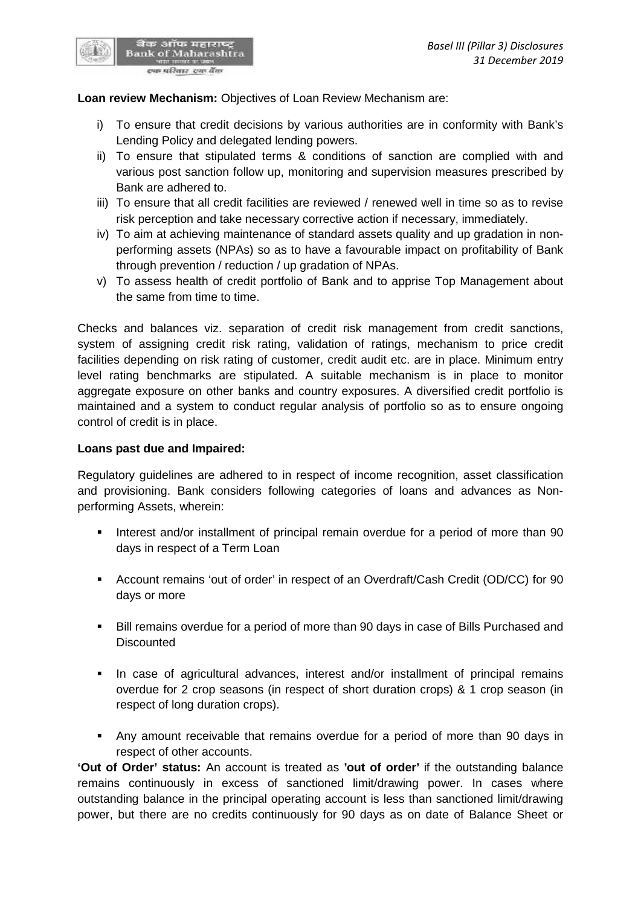

बैंक ऑफ महाराष्ट्र<br>Bank of Maharashtra एक परि<u>वार एक</u> बैंक

- i) To ensure that credit decisions by various authorities are in conformity with Bank's Lending Policy and delegated lending powers.
- ii) To ensure that stipulated terms & conditions of sanction are complied with and various post sanction follow up, monitoring and supervision measures prescribed by Bank are adhered to.
- iii) To ensure that all credit facilities are reviewed / renewed well in time so as to revise risk perception and take necessary corrective action if necessary, immediately.
- iv) To aim at achieving maintenance of standard assets quality and up gradation in non performing assets (NPAs) so as to have a favourable impact on profitability of Bank through prevention / reduction / up gradation of NPAs.
- v) To assess health of credit portfolio of Bank and to apprise Top Management about the same from time to time.

Checks and balances viz. separation of credit risk management from credit sanctions, system of assigning credit risk rating, validation of ratings, mechanism to price credit facilities depending on risk rating of customer, credit audit etc. are in place. Minimum entry level rating benchmarks are stipulated. A suitable mechanism is in place to monitor aggregate exposure on other banks and country exposures. A diversified credit portfolio is maintained and a system to conduct regular analysis of portfolio so as to ensure ongoing control of credit is in place.

#### **Loans past due and Impaired:**

Regulatory guidelines are adhered to in respect of income recognition, asset classification and provisioning. Bank considers following categories of loans and advances as Non performing Assets, wherein:

- Interest and/or installment of principal remain overdue for a period of more than 90 days in respect of a Term Loan
- Account remains 'out of order' in respect of an Overdraft/Cash Credit (OD/CC) for 90 days or more
- Bill remains overdue for a period of more than 90 days in case of Bills Purchased and **Discounted**
- In case of agricultural advances, interest and/or installment of principal remains overdue for 2 crop seasons (in respect of short duration crops) & 1 crop season (in respect of long duration crops).
- Any amount receivable that remains overdue for a period of more than 90 days in respect of other accounts.

**'Out of Order' status:** An account is treated as **'out of order'** if the outstanding balance remains continuously in excess of sanctioned limit/drawing power. In cases where outstanding balance in the principal operating account is less than sanctioned limit/drawing power, but there are no credits continuously for 90 days as on date of Balance Sheet or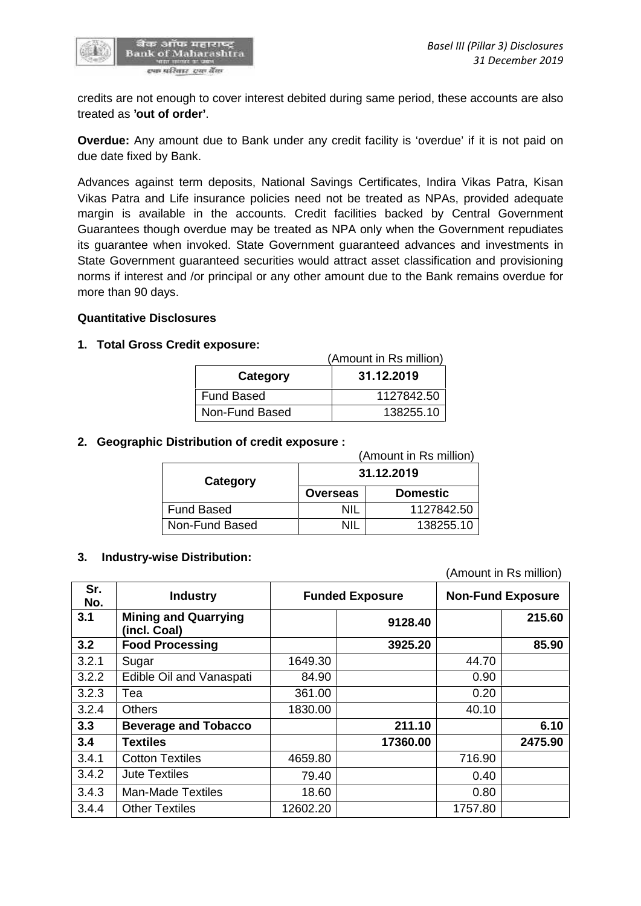

credits are not enough to cover interest debited during same period, these accounts are also treated as **'out of order'**.

**Overdue:** Any amount due to Bank under any credit facility is 'overdue' if it is not paid on due date fixed by Bank.

Advances against term deposits, National Savings Certificates, Indira Vikas Patra, Kisan Vikas Patra and Life insurance policies need not be treated as NPAs, provided adequate margin is available in the accounts. Credit facilities backed by Central Government Guarantees though overdue may be treated as NPA only when the Government repudiates its guarantee when invoked. State Government guaranteed advances and investments in State Government guaranteed securities would attract asset classification and provisioning norms if interest and /or principal or any other amount due to the Bank remains overdue for more than 90 days.

### **Quantitative Disclosures**

### **1. Total Gross Credit exposure:**

|                        | (Amount in Rs million) |  |
|------------------------|------------------------|--|
| 31.12.2019<br>Category |                        |  |
| Fund Based             | 1127842.50             |  |
| Non-Fund Based         | 138255.10              |  |

### **2. Geographic Distribution of credit exposure :**

|                   | (Amount in Rs million) |                 |  |  |
|-------------------|------------------------|-----------------|--|--|
| Category          |                        | 31.12.2019      |  |  |
|                   | <b>Overseas</b>        | <b>Domestic</b> |  |  |
| <b>Fund Based</b> | ΝIΙ                    | 1127842.50      |  |  |
| Non-Fund Based    | NII                    | 138255.10       |  |  |

#### **3. Industry-wise Distribution:**

(Amount in Rs million)

| Sr.<br>No. | <b>Industry</b>                             |          | <b>Funded Exposure</b> |         | <b>Non-Fund Exposure</b> |
|------------|---------------------------------------------|----------|------------------------|---------|--------------------------|
| 3.1        | <b>Mining and Quarrying</b><br>(incl. Coal) |          | 9128.40                |         | 215.60                   |
| 3.2        | <b>Food Processing</b>                      |          | 3925.20                |         | 85.90                    |
| 3.2.1      | Sugar                                       | 1649.30  |                        | 44.70   |                          |
| 3.2.2      | Edible Oil and Vanaspati                    | 84.90    |                        | 0.90    |                          |
| 3.2.3      | Tea                                         | 361.00   |                        | 0.20    |                          |
| 3.2.4      | <b>Others</b>                               | 1830.00  |                        | 40.10   |                          |
| 3.3        | <b>Beverage and Tobacco</b>                 |          | 211.10                 |         | 6.10                     |
| 3.4        | <b>Textiles</b>                             |          | 17360.00               |         | 2475.90                  |
| 3.4.1      | <b>Cotton Textiles</b>                      | 4659.80  |                        | 716.90  |                          |
| 3.4.2      | <b>Jute Textiles</b>                        | 79.40    |                        | 0.40    |                          |
| 3.4.3      | <b>Man-Made Textiles</b>                    | 18.60    |                        | 0.80    |                          |
| 3.4.4      | <b>Other Textiles</b>                       | 12602.20 |                        | 1757.80 |                          |
|            |                                             |          |                        |         |                          |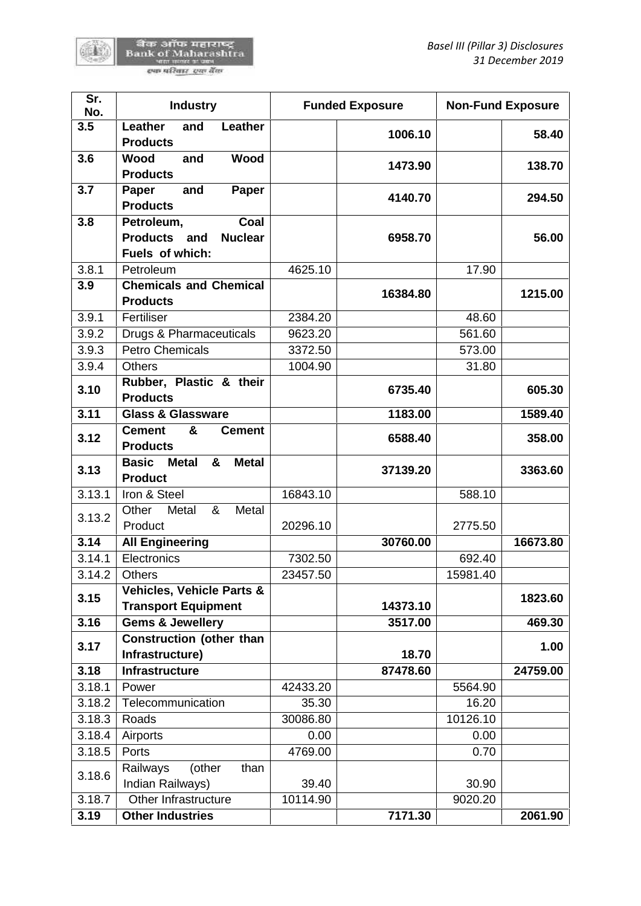陈書

| Sr.<br>No. | <b>Industry</b>                                                         |          | <b>Funded Exposure</b> | <b>Non-Fund Exposure</b> |          |
|------------|-------------------------------------------------------------------------|----------|------------------------|--------------------------|----------|
| 3.5        | Leather<br>Leather<br>and<br><b>Products</b>                            |          | 1006.10                |                          | 58.40    |
| 3.6        | <b>Wood</b><br><b>Wood</b><br>and<br><b>Products</b>                    |          | 1473.90                |                          | 138.70   |
| 3.7        | and<br>Paper<br>Paper<br><b>Products</b>                                |          | 4140.70                |                          | 294.50   |
| 3.8        | Petroleum,<br>Coal<br>Products and<br><b>Nuclear</b><br>Fuels of which: |          | 6958.70                |                          | 56.00    |
| 3.8.1      | Petroleum                                                               | 4625.10  |                        | 17.90                    |          |
| 3.9        | <b>Chemicals and Chemical</b><br><b>Products</b>                        |          | 16384.80               |                          | 1215.00  |
| 3.9.1      | Fertiliser                                                              | 2384.20  |                        | 48.60                    |          |
| 3.9.2      | Drugs & Pharmaceuticals                                                 | 9623.20  |                        | 561.60                   |          |
| 3.9.3      | <b>Petro Chemicals</b>                                                  | 3372.50  |                        | 573.00                   |          |
| 3.9.4      | <b>Others</b>                                                           | 1004.90  |                        | 31.80                    |          |
| 3.10       | Rubber, Plastic & their<br><b>Products</b>                              |          | 6735.40                |                          | 605.30   |
| 3.11       | <b>Glass &amp; Glassware</b>                                            |          | 1183.00                |                          | 1589.40  |
| 3.12       | <b>Cement</b><br>&<br><b>Cement</b><br><b>Products</b>                  |          | 6588.40                |                          | 358.00   |
| 3.13       | <b>Basic</b><br><b>Metal</b><br><b>Metal</b><br>&<br><b>Product</b>     |          | 37139.20               |                          | 3363.60  |
| 3.13.1     | Iron & Steel                                                            | 16843.10 |                        | 588.10                   |          |
| 3.13.2     | Other<br>Metal<br>&<br>Metal<br>Product                                 | 20296.10 |                        | 2775.50                  |          |
| 3.14       | <b>All Engineering</b>                                                  |          | 30760.00               |                          | 16673.80 |
| 3.14.1     | Electronics                                                             | 7302.50  |                        | 692.40                   |          |
| 3.14.2     | Others                                                                  | 23457.50 |                        | 15981.40                 |          |
| 3.15       | <b>Vehicles, Vehicle Parts &amp;</b><br><b>Transport Equipment</b>      |          | 14373.10               |                          | 1823.60  |
| 3.16       | <b>Gems &amp; Jewellery</b>                                             |          | 3517.00                |                          | 469.30   |
| 3.17       | <b>Construction (other than</b><br>Infrastructure)                      |          | 18.70                  |                          | 1.00     |
| 3.18       | <b>Infrastructure</b>                                                   |          | 87478.60               |                          | 24759.00 |
| 3.18.1     | Power                                                                   | 42433.20 |                        | 5564.90                  |          |
| 3.18.2     | Telecommunication                                                       | 35.30    |                        | 16.20                    |          |
| 3.18.3     | Roads                                                                   | 30086.80 |                        | 10126.10                 |          |
| 3.18.4     | Airports                                                                | 0.00     |                        | 0.00                     |          |
| 3.18.5     | Ports                                                                   | 4769.00  |                        | 0.70                     |          |
| 3.18.6     | Railways<br>(other<br>than<br>Indian Railways)                          | 39.40    |                        | 30.90                    |          |
| 3.18.7     | Other Infrastructure                                                    | 10114.90 |                        | 9020.20                  |          |
| 3.19       | <b>Other Industries</b>                                                 |          | 7171.30                |                          | 2061.90  |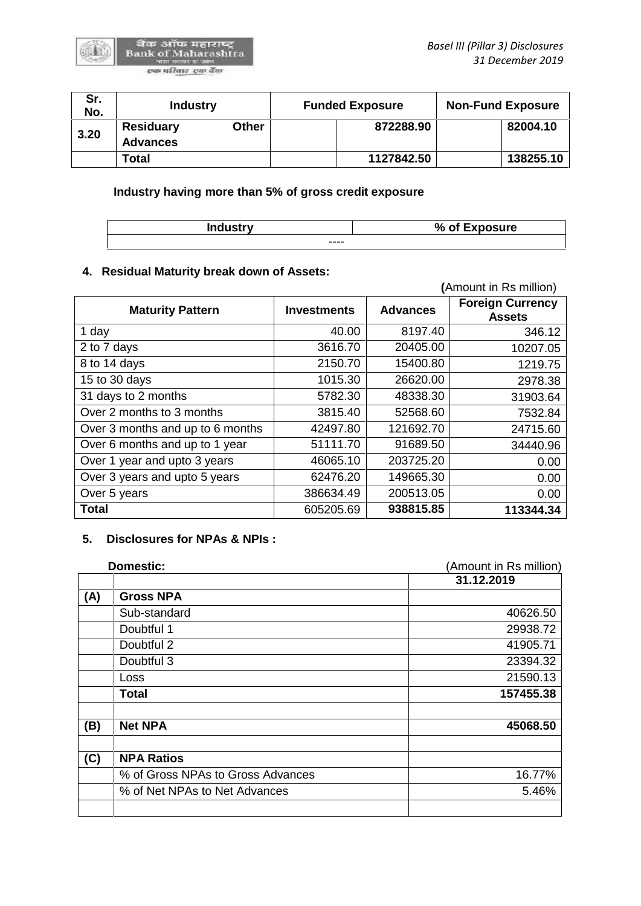

| Sr.<br>No. | <b>Industry</b>                     |       | <b>Funded Exposure</b> |           |
|------------|-------------------------------------|-------|------------------------|-----------|
| 3.20       | <b>Residuary</b><br><b>Advances</b> | Other | 872288.90              | 82004.10  |
|            | Total                               |       | 1127842.50             | 138255.10 |

**Industry having more than 5% of gross credit exposure**

| <b>Industry</b> | % of Exposure |
|-----------------|---------------|
| ----            |               |

## **4. Residual Maturity break down of Assets:**

|                                  |                    |                 | (Amount in Rs million)                   |
|----------------------------------|--------------------|-----------------|------------------------------------------|
| <b>Maturity Pattern</b>          | <b>Investments</b> | <b>Advances</b> | <b>Foreign Currency</b><br><b>Assets</b> |
| 1 day                            | 40.00              | 8197.40         | 346.12                                   |
| 2 to 7 days                      | 3616.70            | 20405.00        | 10207.05                                 |
| 8 to 14 days                     | 2150.70            | 15400.80        | 1219.75                                  |
| 15 to 30 days                    | 1015.30            | 26620.00        | 2978.38                                  |
| 31 days to 2 months              | 5782.30            | 48338.30        | 31903.64                                 |
| Over 2 months to 3 months        | 3815.40            | 52568.60        | 7532.84                                  |
| Over 3 months and up to 6 months | 42497.80           | 121692.70       | 24715.60                                 |
| Over 6 months and up to 1 year   | 51111.70           | 91689.50        | 34440.96                                 |
| Over 1 year and upto 3 years     | 46065.10           | 203725.20       | 0.00                                     |
| Over 3 years and upto 5 years    | 62476.20           | 149665.30       | 0.00                                     |
| Over 5 years                     | 386634.49          | 200513.05       | 0.00                                     |
| <b>Total</b>                     | 605205.69          | 938815.85       | 113344.34                                |

### **5. Disclosures for NPAs & NPIs :**

|     | <b>Domestic:</b>                  | (Amount in Rs million) |  |
|-----|-----------------------------------|------------------------|--|
|     |                                   | 31.12.2019             |  |
| (A) | <b>Gross NPA</b>                  |                        |  |
|     | Sub-standard                      | 40626.50               |  |
|     | Doubtful 1                        | 29938.72               |  |
|     | Doubtful 2                        | 41905.71               |  |
|     | Doubtful 3                        | 23394.32               |  |
|     | Loss                              | 21590.13               |  |
|     | <b>Total</b>                      | 157455.38              |  |
| (B) | <b>Net NPA</b>                    | 45068.50               |  |
| (C) | <b>NPA Ratios</b>                 |                        |  |
|     | % of Gross NPAs to Gross Advances | 16.77%                 |  |
|     | % of Net NPAs to Net Advances     | 5.46%                  |  |
|     |                                   |                        |  |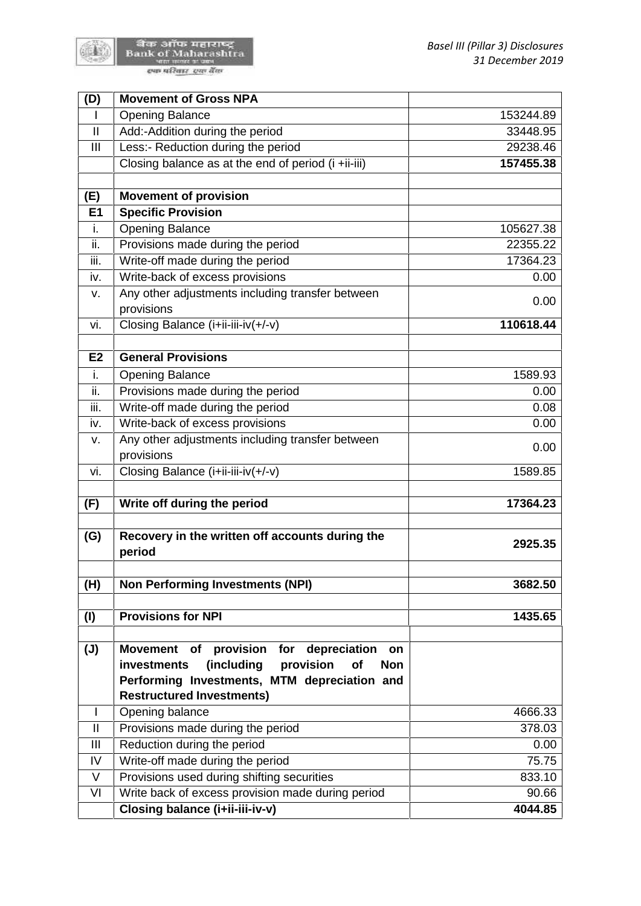

陈書

| (D)            | <b>Movement of Gross NPA</b>                                                                                                                                                                                |           |
|----------------|-------------------------------------------------------------------------------------------------------------------------------------------------------------------------------------------------------------|-----------|
|                | <b>Opening Balance</b>                                                                                                                                                                                      | 153244.89 |
| $\mathbf{I}$   | Add:-Addition during the period                                                                                                                                                                             | 33448.95  |
| Ш              | Less:- Reduction during the period                                                                                                                                                                          | 29238.46  |
|                | Closing balance as at the end of period (i +ii-iii)                                                                                                                                                         | 157455.38 |
| (E)            | <b>Movement of provision</b>                                                                                                                                                                                |           |
| E <sub>1</sub> | <b>Specific Provision</b>                                                                                                                                                                                   |           |
| i.             | <b>Opening Balance</b>                                                                                                                                                                                      | 105627.38 |
| ii.            | Provisions made during the period                                                                                                                                                                           | 22355.22  |
| iii.           | Write-off made during the period                                                                                                                                                                            | 17364.23  |
| iv.            | Write-back of excess provisions                                                                                                                                                                             | 0.00      |
| ν.             | Any other adjustments including transfer between                                                                                                                                                            | 0.00      |
|                | provisions                                                                                                                                                                                                  |           |
| vi.            | Closing Balance (i+ii-iii-iv(+/-v)                                                                                                                                                                          | 110618.44 |
|                |                                                                                                                                                                                                             |           |
| E <sub>2</sub> | <b>General Provisions</b>                                                                                                                                                                                   |           |
| i.             | <b>Opening Balance</b>                                                                                                                                                                                      | 1589.93   |
| ii.            | Provisions made during the period                                                                                                                                                                           | 0.00      |
| iii.           | Write-off made during the period                                                                                                                                                                            | 0.08      |
| iv.            | Write-back of excess provisions                                                                                                                                                                             | 0.00      |
| ٧.             | Any other adjustments including transfer between                                                                                                                                                            | 0.00      |
|                | provisions                                                                                                                                                                                                  |           |
| vi.            | Closing Balance (i+ii-iii-iv(+/-v)                                                                                                                                                                          | 1589.85   |
| (F)            | Write off during the period                                                                                                                                                                                 | 17364.23  |
| (G)            | Recovery in the written off accounts during the<br>period                                                                                                                                                   | 2925.35   |
| (H)            | <b>Non Performing Investments (NPI)</b>                                                                                                                                                                     | 3682.50   |
| (1)            | <b>Provisions for NPI</b>                                                                                                                                                                                   | 1435.65   |
| $(\mathsf{U})$ | provision for depreciation<br><b>Movement</b><br>of<br>on<br>(including<br>provision<br>investments<br>of<br><b>Non</b><br>Performing Investments, MTM depreciation and<br><b>Restructured Investments)</b> |           |
|                | Opening balance                                                                                                                                                                                             | 4666.33   |
| $\mathbf{I}$   | Provisions made during the period                                                                                                                                                                           | 378.03    |
| III            | Reduction during the period                                                                                                                                                                                 | 0.00      |
| IV             | Write-off made during the period                                                                                                                                                                            | 75.75     |
| V              | Provisions used during shifting securities                                                                                                                                                                  | 833.10    |
| VI             | Write back of excess provision made during period                                                                                                                                                           | 90.66     |
|                |                                                                                                                                                                                                             |           |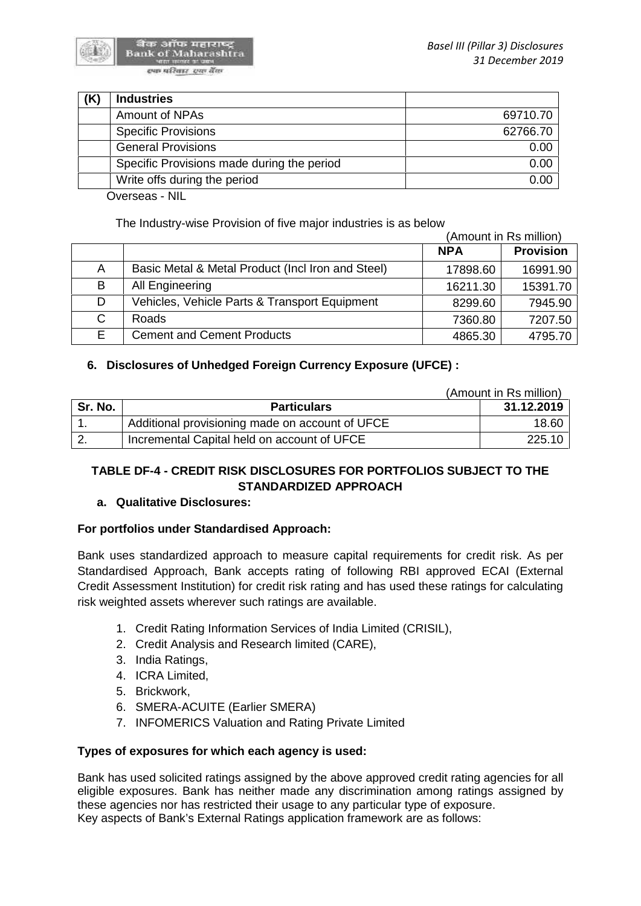

| <b>Industries</b>                          |          |
|--------------------------------------------|----------|
| Amount of NPAs                             | 69710.70 |
| <b>Specific Provisions</b>                 | 62766.70 |
| <b>General Provisions</b>                  | 0.00     |
| Specific Provisions made during the period | 0.00     |
| Write offs during the period               | 0.00     |
| .<br>$\sim$                                |          |

Overseas - NIL

The Industry-wise Provision of five major industries is as below

|    |                                                   | (Amount in Rs million) |                  |  |
|----|---------------------------------------------------|------------------------|------------------|--|
|    |                                                   | <b>NPA</b>             | <b>Provision</b> |  |
| A  | Basic Metal & Metal Product (Incl Iron and Steel) | 17898.60               | 16991.90         |  |
| B  | All Engineering                                   | 16211.30               | 15391.70         |  |
| D  | Vehicles, Vehicle Parts & Transport Equipment     | 8299.60                | 7945.90          |  |
| С  | <b>Roads</b>                                      | 7360.80                | 7207.50          |  |
| E. | <b>Cement and Cement Products</b>                 | 4865.30                | 4795.70          |  |

## **6. Disclosures of Unhedged Foreign Currency Exposure (UFCE) :**

|         |                                                 | (Amount in Rs million) |  |
|---------|-------------------------------------------------|------------------------|--|
| Sr. No. | <b>Particulars</b>                              | 31.12.2019             |  |
|         | Additional provisioning made on account of UFCE | 18.60                  |  |
|         | Incremental Capital held on account of UFCE     | 225.10                 |  |

# **TABLE DF-4 - CREDIT RISK DISCLOSURES FOR PORTFOLIOS SUBJECT TO THE STANDARDIZED APPROACH**

## **a. Qualitative Disclosures:**

## **For portfolios under Standardised Approach:**

Bank uses standardized approach to measure capital requirements for credit risk. As per Standardised Approach, Bank accepts rating of following RBI approved ECAI (External Credit Assessment Institution) for credit risk rating and has used these ratings for calculating risk weighted assets wherever such ratings are available.

- 1. Credit Rating Information Services of India Limited (CRISIL),
- 2. Credit Analysis and Research limited (CARE),
- 3. India Ratings,
- 4. ICRA Limited,
- 5. Brickwork,
- 6. SMERA-ACUITE (Earlier SMERA)
- 7. INFOMERICS Valuation and Rating Private Limited

## **Types of exposures for which each agency is used:**

Bank has used solicited ratings assigned by the above approved credit rating agencies for all eligible exposures. Bank has neither made any discrimination among ratings assigned by these agencies nor has restricted their usage to any particular type of exposure. Key aspects of Bank's External Ratings application framework are as follows: